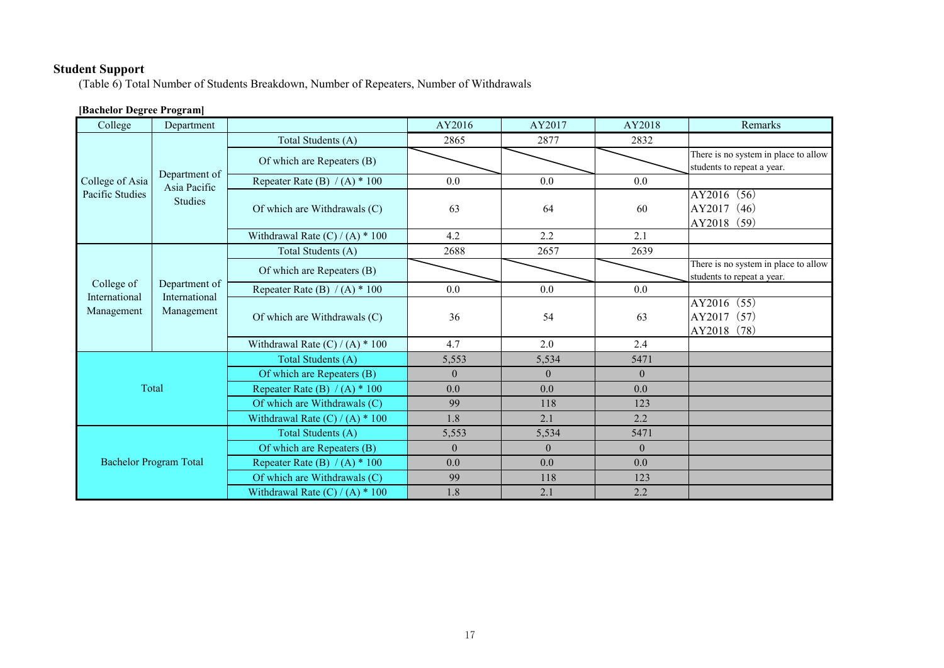# **Student Support**

(Table 6) Total Number of Students Breakdown, Number of Repeaters, Number of Withdrawals

# **[Bachelor Degree Program]**

| College                            | Department                                      |                                   | AY2016         | AY2017       | AY2018         | Remarks                                                            |
|------------------------------------|-------------------------------------------------|-----------------------------------|----------------|--------------|----------------|--------------------------------------------------------------------|
| College of Asia<br>Pacific Studies | Department of<br>Asia Pacific<br><b>Studies</b> | Total Students (A)                | 2865           | 2877         | 2832           |                                                                    |
|                                    |                                                 | Of which are Repeaters (B)        |                |              |                | There is no system in place to allow<br>students to repeat a year. |
|                                    |                                                 | Repeater Rate (B) $/(A) * 100$    | 0.0            | 0.0          | 0.0            |                                                                    |
|                                    |                                                 | Of which are Withdrawals (C)      | 63             | 64           | 60             | AY2016 (56)<br>AY2017 (46)<br>AY2018 (59)                          |
|                                    |                                                 | Withdrawal Rate $(C) / (A) * 100$ | 4.2            | 2.2          | 2.1            |                                                                    |
|                                    | Department of<br>International<br>Management    | Total Students (A)                | 2688           | 2657         | 2639           |                                                                    |
|                                    |                                                 | Of which are Repeaters (B)        |                |              |                | There is no system in place to allow<br>students to repeat a year. |
| College of                         |                                                 | Repeater Rate (B) $/(A) * 100$    | 0.0            | 0.0          | 0.0            |                                                                    |
| International<br>Management        |                                                 | Of which are Withdrawals (C)      | 36             | 54           | 63             | AY2016 (55)<br>AY2017 (57)<br>AY2018 (78)                          |
|                                    |                                                 | Withdrawal Rate $(C) / (A) * 100$ | 4.7            | 2.0          | 2.4            |                                                                    |
| Total                              |                                                 | Total Students (A)                | 5,553          | 5,534        | 5471           |                                                                    |
|                                    |                                                 | Of which are Repeaters (B)        | $\overline{0}$ | $\mathbf{0}$ | $\overline{0}$ |                                                                    |
|                                    |                                                 | Repeater Rate (B) $/(A) * 100$    | 0.0            | 0.0          | 0.0            |                                                                    |
|                                    |                                                 | Of which are Withdrawals (C)      | 99             | 118          | 123            |                                                                    |
|                                    |                                                 | Withdrawal Rate $(C) / (A) * 100$ | 1.8            | 2.1          | 2.2            |                                                                    |
| <b>Bachelor Program Total</b>      |                                                 | Total Students (A)                | 5,553          | 5,534        | 5471           |                                                                    |
|                                    |                                                 | Of which are Repeaters (B)        | $\theta$       | $\theta$     | $\overline{0}$ |                                                                    |
|                                    |                                                 | Repeater Rate (B) $/(A)$ * 100    | 0.0            | 0.0          | 0.0            |                                                                    |
|                                    |                                                 | Of which are Withdrawals (C)      | 99             | 118          | 123            |                                                                    |
|                                    |                                                 | Withdrawal Rate $(C) / (A) * 100$ | 1.8            | 2.1          | 2.2            |                                                                    |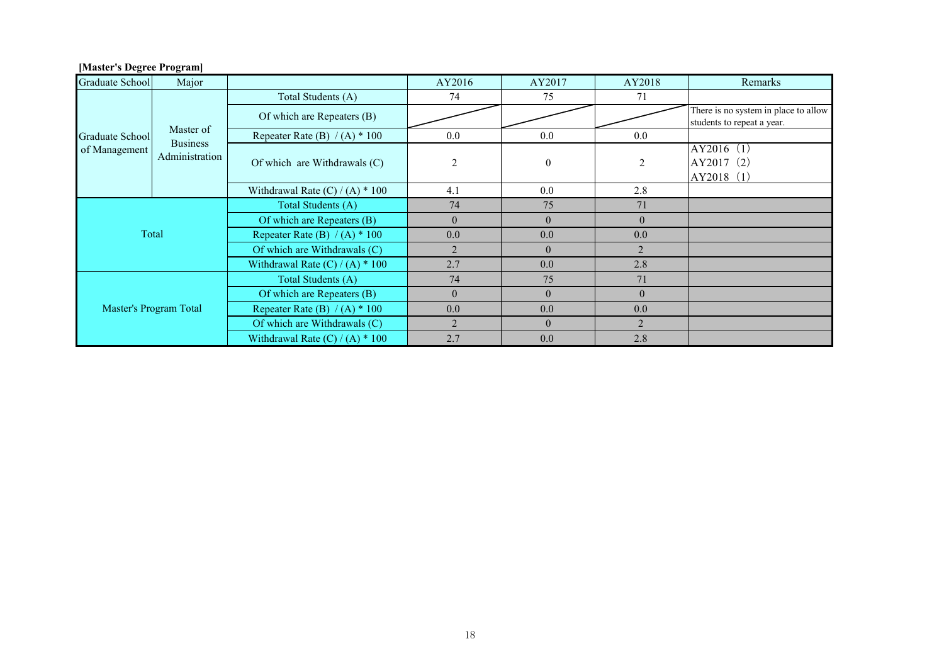| <b>Graduate School</b>           | Major                                          |                                   | AY2016         | AY2017       | AY2018         | Remarks                                                            |
|----------------------------------|------------------------------------------------|-----------------------------------|----------------|--------------|----------------|--------------------------------------------------------------------|
| Graduate School<br>of Management | Master of<br><b>Business</b><br>Administration | Total Students (A)                | 74             | 75           | 71             |                                                                    |
|                                  |                                                | Of which are Repeaters (B)        |                |              |                | There is no system in place to allow<br>students to repeat a year. |
|                                  |                                                | Repeater Rate (B) $/(A)$ * 100    | $0.0\,$        | 0.0          | $0.0\,$        |                                                                    |
|                                  |                                                | Of which are Withdrawals (C)      | $\overline{2}$ | $\mathbf{0}$ | 2              | AY2016 (1)<br>AY2017 (2)<br>AY2018 (1)                             |
|                                  |                                                | Withdrawal Rate $(C) / (A) * 100$ | 4.1            | 0.0          | 2.8            |                                                                    |
| Total                            |                                                | Total Students (A)                | 74             | 75           | 71             |                                                                    |
|                                  |                                                | Of which are Repeaters (B)        | $\theta$       | $\theta$     | $\overline{0}$ |                                                                    |
|                                  |                                                | Repeater Rate (B) $/(A)$ * 100    | 0.0            | 0.0          | 0.0            |                                                                    |
|                                  |                                                | Of which are Withdrawals (C)      | $\mathfrak{D}$ | $\theta$     | $\overline{2}$ |                                                                    |
|                                  |                                                | Withdrawal Rate $(C) / (A) * 100$ | 2.7            | 0.0          | 2.8            |                                                                    |
| Master's Program Total           |                                                | Total Students (A)                | 74             | 75           | 71             |                                                                    |
|                                  |                                                | Of which are Repeaters (B)        | $\theta$       | $\theta$     | $\theta$       |                                                                    |
|                                  |                                                | Repeater Rate (B) $/(A)$ * 100    | 0.0            | 0.0          | 0.0            |                                                                    |
|                                  |                                                | Of which are Withdrawals (C)      | $\mathfrak{D}$ | $\theta$     | 2              |                                                                    |
|                                  |                                                | Withdrawal Rate $(C) / (A) * 100$ | 2.7            | 0.0          | 2.8            |                                                                    |

## **[Master's Degree Program]**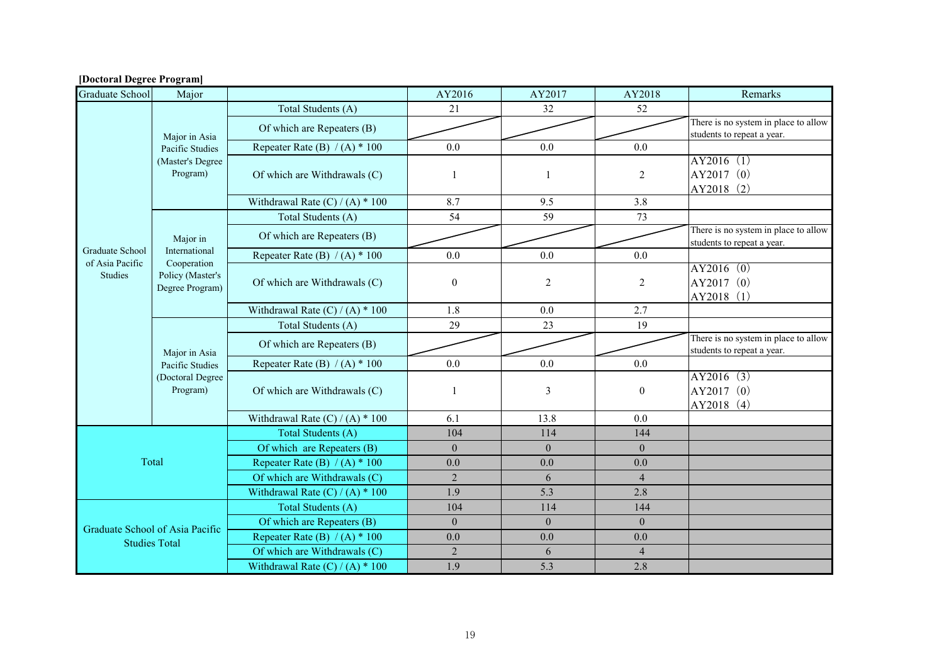| <b>Graduate School</b>                                  | Major                                                            |                                   | AY2016           | AY2017         | AY2018         | Remarks                              |
|---------------------------------------------------------|------------------------------------------------------------------|-----------------------------------|------------------|----------------|----------------|--------------------------------------|
|                                                         | Major in Asia<br>Pacific Studies<br>(Master's Degree<br>Program) | Total Students (A)                | 21               | 32             | 52             |                                      |
|                                                         |                                                                  | Of which are Repeaters (B)        |                  |                |                | There is no system in place to allow |
|                                                         |                                                                  |                                   |                  |                |                | students to repeat a year.           |
|                                                         |                                                                  | Repeater Rate (B) $/(A)$ * 100    | 0.0              | 0.0            | 0.0            | AY2016(1)                            |
|                                                         |                                                                  | Of which are Withdrawals (C)      | $\mathbf{1}$     | $\mathbf{1}$   | $\sqrt{2}$     | AY2017 (0)                           |
|                                                         |                                                                  |                                   |                  |                |                | AY2018 (2)                           |
|                                                         |                                                                  | Withdrawal Rate $(C) / (A) * 100$ | 8.7              | 9.5            | 3.8            |                                      |
|                                                         |                                                                  | Total Students (A)                | 54               | 59             | 73             |                                      |
|                                                         |                                                                  | Of which are Repeaters (B)        |                  |                |                | There is no system in place to allow |
| Graduate School                                         | Major in<br>International                                        |                                   |                  |                |                | students to repeat a year.           |
| of Asia Pacific                                         | Cooperation                                                      | Repeater Rate (B) $/(A) * 100$    | 0.0              | 0.0            | 0.0            |                                      |
| Studies                                                 | Policy (Master's                                                 |                                   |                  |                |                | AY2016(0)                            |
|                                                         | Degree Program)                                                  | Of which are Withdrawals (C)      | $\boldsymbol{0}$ | $\overline{2}$ | $\overline{2}$ | AY2017 (0)                           |
|                                                         |                                                                  |                                   |                  |                |                | AY2018 (1)                           |
|                                                         |                                                                  | Withdrawal Rate $(C) / (A) * 100$ | 1.8              | 0.0            | 2.7            |                                      |
|                                                         | Major in Asia<br>Pacific Studies<br>(Doctoral Degree<br>Program) | Total Students (A)                | 29               | 23             | 19             | There is no system in place to allow |
|                                                         |                                                                  | Of which are Repeaters (B)        |                  |                |                | students to repeat a year.           |
|                                                         |                                                                  | Repeater Rate (B) $/(A)$ * 100    | 0.0              | 0.0            | 0.0            |                                      |
|                                                         |                                                                  |                                   |                  |                |                | AY2016(3)                            |
|                                                         |                                                                  | Of which are Withdrawals (C)      | $\mathbf{1}$     | 3              | $\mathbf{0}$   | AY2017 (0)                           |
|                                                         |                                                                  |                                   |                  |                |                | AY2018 (4)                           |
|                                                         |                                                                  | Withdrawal Rate $(C) / (A) * 100$ | 6.1              | 13.8           | 0.0            |                                      |
|                                                         |                                                                  | Total Students (A)                | 104              | 114            | 144            |                                      |
|                                                         |                                                                  | Of which are Repeaters (B)        | $\theta$         | $\mathbf{0}$   | $\theta$       |                                      |
|                                                         | Total                                                            | Repeater Rate (B) $/(A) * 100$    | 0.0              | 0.0            | 0.0            |                                      |
|                                                         |                                                                  | Of which are Withdrawals (C)      | $\overline{2}$   | 6              | $\overline{4}$ |                                      |
|                                                         |                                                                  | Withdrawal Rate $(C) / (A) * 100$ | 1.9              | 5.3            | 2.8            |                                      |
| Graduate School of Asia Pacific<br><b>Studies Total</b> |                                                                  | Total Students (A)                | 104              | 114            | 144            |                                      |
|                                                         |                                                                  | Of which are Repeaters (B)        | $\theta$         | $\theta$       | $\Omega$       |                                      |
|                                                         |                                                                  | Repeater Rate (B) $/(A)$ * 100    | 0.0              | 0.0            | 0.0            |                                      |
|                                                         |                                                                  | Of which are Withdrawals (C)      | $\overline{2}$   | 6              | $\overline{4}$ |                                      |
|                                                         |                                                                  | Withdrawal Rate $(C) / (A) * 100$ | 1.9              | 5.3            | 2.8            |                                      |

#### **[Doctoral Degree Program]**